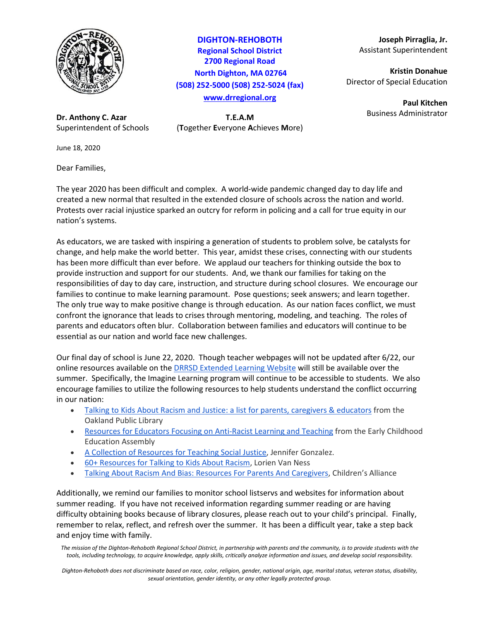

**Dr. Anthony C. Azar T.E.A.M**

June 18, 2020

Dear Families,

**DIGHTON-REHOBOTH Regional School District 2700 Regional Road North Dighton, MA 02764 (508) 252-5000 (508) 252-5024 (fax) [www.drregional.org](http://www.drregional.org/)**

Superintendent of Schools (**T**ogether **E**veryone **A**chieves **M**ore)

**Joseph Pirraglia, Jr.** Assistant Superintendent

**Kristin Donahue** Director of Special Education

> **Paul Kitchen** Business Administrator

The year 2020 has been difficult and complex. A world-wide pandemic changed day to day life and created a new normal that resulted in the extended closure of schools across the nation and world. Protests over racial injustice sparked an outcry for reform in policing and a call for true equity in our nation's systems.

As educators, we are tasked with inspiring a generation of students to problem solve, be catalysts for change, and help make the world better. This year, amidst these crises, connecting with our students has been more difficult than ever before. We applaud our teachers for thinking outside the box to provide instruction and support for our students. And, we thank our families for taking on the responsibilities of day to day care, instruction, and structure during school closures. We encourage our families to continue to make learning paramount. Pose questions; seek answers; and learn together. The only true way to make positive change is through education. As our nation faces conflict, we must confront the ignorance that leads to crises through mentoring, modeling, and teaching. The roles of parents and educators often blur. Collaboration between families and educators will continue to be essential as our nation and world face new challenges.

Our final day of school is June 22, 2020. Though teacher webpages will not be updated after 6/22, our online resources available on the [DRRSD Extended Learning Website](https://sites.google.com/drregional.org/drrsdextendedlearning/home) will still be available over the summer. Specifically, the Imagine Learning program will continue to be accessible to students. We also encourage families to utilize the following resources to help students understand the conflict occurring in our nation:

- [Talking to Kids About Racism and Justice: a list for parents, caregivers & educators](https://docs.google.com/document/d/1s0lCA3FlulVhK6DFE2d3uYCipc6ApY8Gn2rMwm6fYqw/edit?usp=sharing) from the Oakland Public Library
- [Resources for Educators Focusing on Anti-Racist Learning and Teaching](http://www.earlychildhoodeducationassembly.com/resources-for-educators-focusing-on-anti-racist-learning-and-teaching.html) from the Early Childhood Education Assembly
- [A Collection of Resources for Teaching Social Justice,](http://www.cultofpedagogy.com/social-justice-resources/) Jennifer Gonzalez.
- [60+ Resources for Talking to Kids About Racism,](http://bouncebackparenting.com/resources-for-talking-to-kids-about-race-and-racism/) Lorien Van Ness
- [Talking About Racism And Bias: Resources For Parents And](https://www.childrensalliance.org/resource/talking-about-racism-resources-parents-and-caregivers) Caregivers, Children's Alliance

Additionally, we remind our families to monitor school listservs and websites for information about summer reading. If you have not received information regarding summer reading or are having difficulty obtaining books because of library closures, please reach out to your child's principal. Finally, remember to relax, reflect, and refresh over the summer. It has been a difficult year, take a step back and enjoy time with family.

*The mission of the Dighton-Rehoboth Regional School District, in partnership with parents and the community, is to provide students with the tools, including technology, to acquire knowledge, apply skills, critically analyze information and issues, and develop social responsibility.*

*Dighton-Rehoboth does not discriminate based on race, color, religion, gender, national origin, age, marital status, veteran status, disability, sexual orientation, gender identity, or any other legally protected group.*